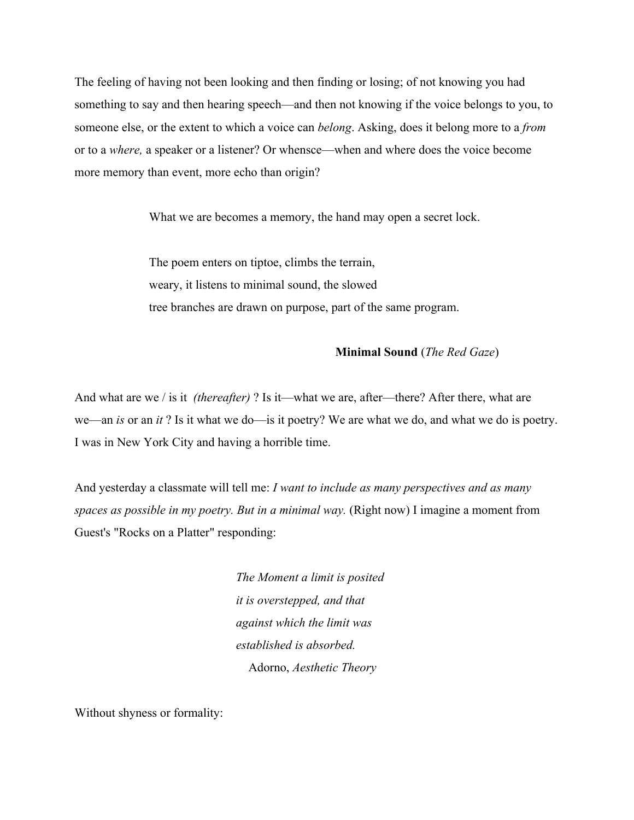The feeling of having not been looking and then finding or losing; of not knowing you had something to say and then hearing speech—and then not knowing if the voice belongs to you, to someone else, or the extent to which a voice can *belong*. Asking, does it belong more to a *from* or to a *where,* a speaker or a listener? Or whensce—when and where does the voice become more memory than event, more echo than origin?

What we are becomes a memory, the hand may open a secret lock.

The poem enters on tiptoe, climbs the terrain, weary, it listens to minimal sound, the slowed tree branches are drawn on purpose, part of the same program.

## **Minimal Sound** (*The Red Gaze*)

And what are we / is it *(thereafter)* ? Is it—what we are, after—there? After there, what are we—an *is* or an *it* ? Is it what we do—is it poetry? We are what we do, and what we do is poetry. I was in New York City and having a horrible time.

And yesterday a classmate will tell me: *I want to include as many perspectives and as many spaces as possible in my poetry. But in a minimal way.* (Right now) I imagine a moment from Guest's "Rocks on a Platter" responding:

> *The Moment a limit is posited it is overstepped, and that against which the limit was established is absorbed.* Adorno, *Aesthetic Theory*

Without shyness or formality: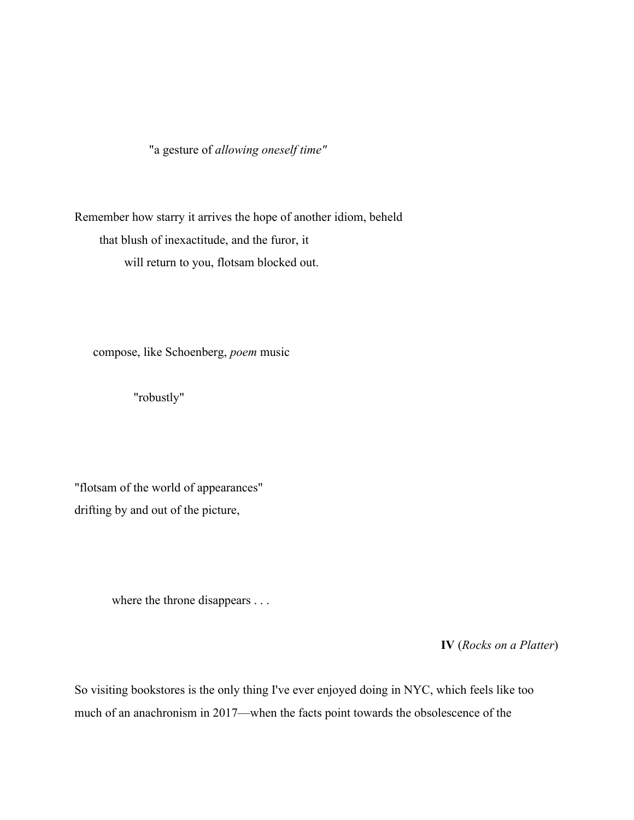"a gesture of *allowing oneself time"*

Remember how starry it arrives the hope of another idiom, beheld that blush of inexactitude, and the furor, it will return to you, flotsam blocked out.

compose, like Schoenberg, *poem* music

"robustly"

"flotsam of the world of appearances" drifting by and out of the picture,

where the throne disappears . . .

**IV** (*Rocks on a Platter*)

So visiting bookstores is the only thing I've ever enjoyed doing in NYC, which feels like too much of an anachronism in 2017—when the facts point towards the obsolescence of the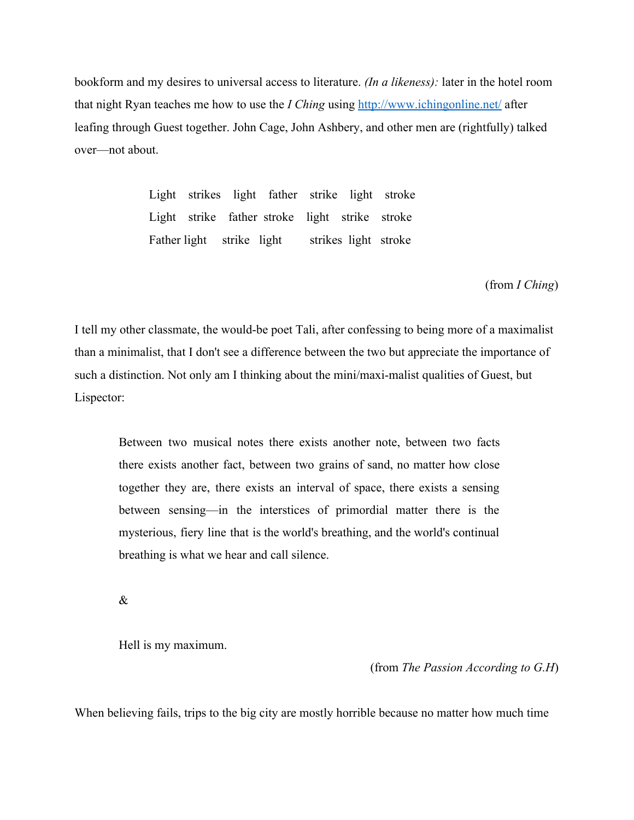bookform and my desires to universal access to literature. *(In a likeness):* later in the hotel room that night Ryan teaches me how to use the *I Ching* using <http://www.ichingonline.net/>after leafing through Guest together. John Cage, John Ashbery, and other men are (rightfully) talked over—not about.

> Light strikes light father strike light stroke Light strike father stroke light strike stroke Father light strike light strikes light stroke

> > (from *I Ching*)

I tell my other classmate, the would-be poet Tali, after confessing to being more of a maximalist than a minimalist, that I don't see a difference between the two but appreciate the importance of such a distinction. Not only am I thinking about the mini/maxi-malist qualities of Guest, but Lispector:

Between two musical notes there exists another note, between two facts there exists another fact, between two grains of sand, no matter how close together they are, there exists an interval of space, there exists a sensing between sensing—in the interstices of primordial matter there is the mysterious, fiery line that is the world's breathing, and the world's continual breathing is what we hear and call silence.

&

Hell is my maximum.

(from *The Passion According to G.H*)

When believing fails, trips to the big city are mostly horrible because no matter how much time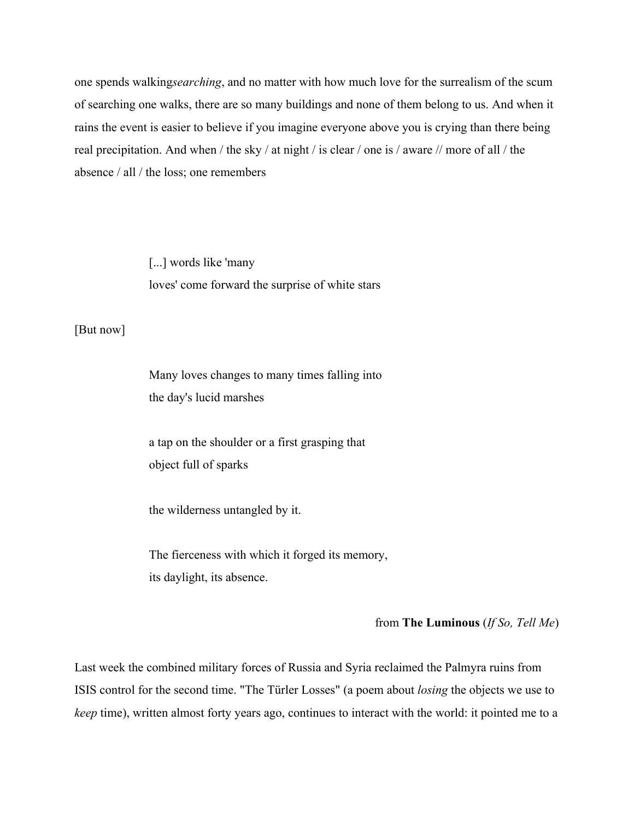one spends walking*searching*, and no matter with how much love for the surrealism of the scum of searching one walks, there are so many buildings and none of them belong to us. And when it rains the event is easier to believe if you imagine everyone above you is crying than there being real precipitation. And when / the sky / at night / is clear / one is / aware // more of all / the absence / all / the loss; one remembers

> [...] words like 'many loves' come forward the surprise of white stars

[But now]

Many loves changes to many times falling into the day's lucid marshes

a tap on the shoulder or a first grasping that object full of sparks

the wilderness untangled by it.

The fierceness with which it forged its memory, its daylight, its absence.

## from **The Luminous** (*If So, Tell Me*)

Last week the combined military forces of Russia and Syria reclaimed the Palmyra ruins from ISIS control for the second time. "The Türler Losses" (a poem about *losing* the objects we use to *keep* time), written almost forty years ago, continues to interact with the world: it pointed me to a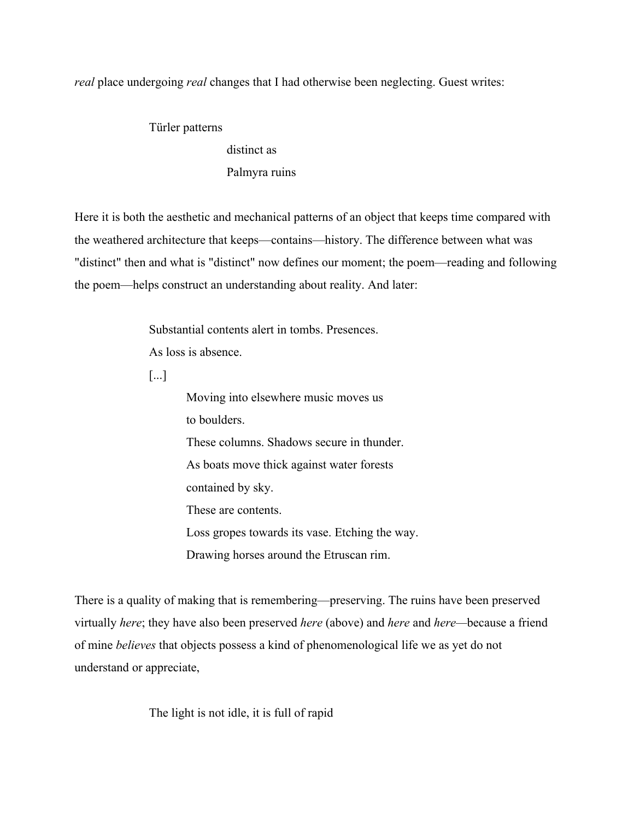*real* place undergoing *real* changes that I had otherwise been neglecting. Guest writes:

Türler patterns distinct as Palmyra ruins

Here it is both the aesthetic and mechanical patterns of an object that keeps time compared with the weathered architecture that keeps—contains—history. The difference between what was "distinct" then and what is "distinct" now defines our moment; the poem—reading and following the poem—helps construct an understanding about reality. And later:

Substantial contents alert in tombs. Presences.

As loss is absence.

[...]

Moving into elsewhere music moves us to boulders. These columns. Shadows secure in thunder. As boats move thick against water forests contained by sky. These are contents. Loss gropes towards its vase. Etching the way. Drawing horses around the Etruscan rim.

There is a quality of making that is remembering—preserving. The ruins have been preserved virtually *here*; they have also been preserved *here* (above) and *here* and *here—*because a friend of mine *believes* that objects possess a kind of phenomenological life we as yet do not understand or appreciate,

The light is not idle, it is full of rapid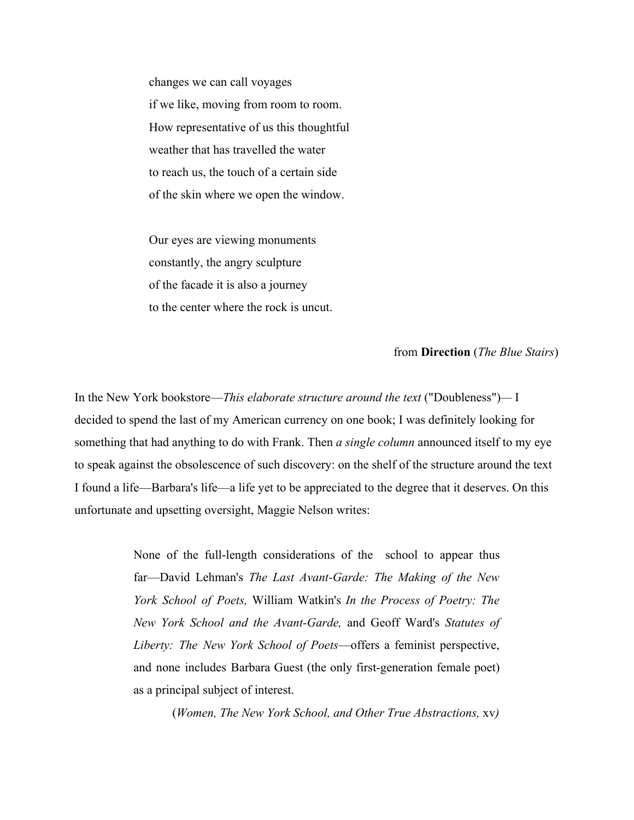changes we can call voyages if we like, moving from room to room. How representative of us this thoughtful weather that has travelled the water to reach us, the touch of a certain side of the skin where we open the window.

Our eyes are viewing monuments constantly, the angry sculpture of the facade it is also a journey to the center where the rock is uncut.

from **Direction** (*The Blue Stairs*)

In the New York bookstore—*This elaborate structure around the text* ("Doubleness")*—* I decided to spend the last of my American currency on one book; I was definitely looking for something that had anything to do with Frank. Then *a single column* announced itself to my eye to speak against the obsolescence of such discovery: on the shelf of the structure around the text I found a life—Barbara's life—a life yet to be appreciated to the degree that it deserves. On this unfortunate and upsetting oversight, Maggie Nelson writes:

> None of the full-length considerations of the school to appear thus far—David Lehman's *The Last Avant-Garde: The Making of the New York School of Poets,* William Watkin's *In the Process of Poetry: The New York School and the Avant-Garde,* and Geoff Ward's *Statutes of Liberty: The New York School of Poets*—offers a feminist perspective, and none includes Barbara Guest (the only first-generation female poet) as a principal subject of interest.

> > (*Women, The New York School, and Other True Abstractions,* xv*)*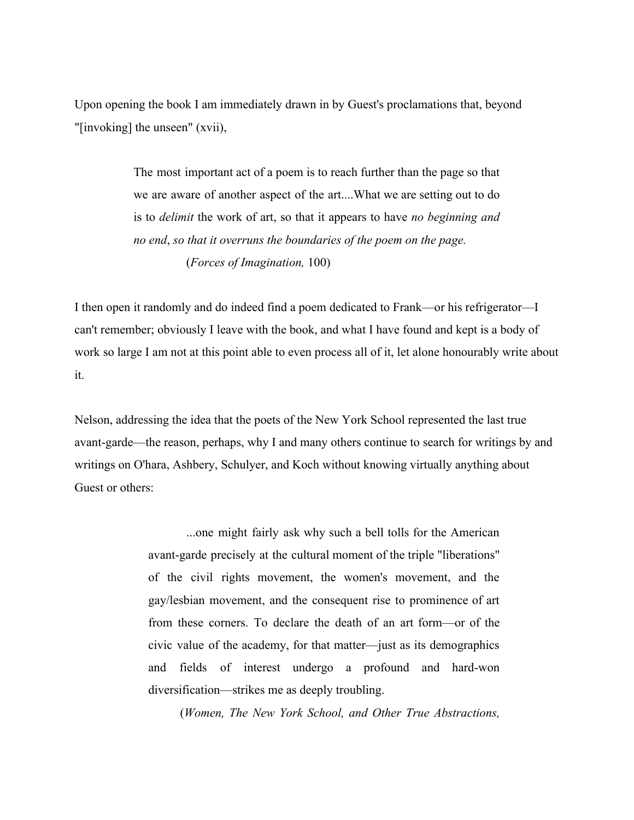Upon opening the book I am immediately drawn in by Guest's proclamations that, beyond "[invoking] the unseen" (xvii),

> The most important act of a poem is to reach further than the page so that we are aware of another aspect of the art....What we are setting out to do is to *delimit* the work of art, so that it appears to have *no beginning and no end*, *so that it overruns the boundaries of the poem on the page.* (*Forces of Imagination,* 100)

I then open it randomly and do indeed find a poem dedicated to Frank—or his refrigerator—I can't remember; obviously I leave with the book, and what I have found and kept is a body of work so large I am not at this point able to even process all of it, let alone honourably write about it.

Nelson, addressing the idea that the poets of the New York School represented the last true avant-garde—the reason, perhaps, why I and many others continue to search for writings by and writings on O'hara, Ashbery, Schulyer, and Koch without knowing virtually anything about Guest or others:

> ...one might fairly ask why such a bell tolls for the American avant-garde precisely at the cultural moment of the triple "liberations" of the civil rights movement, the women's movement, and the gay/lesbian movement, and the consequent rise to prominence of art from these corners. To declare the death of an art form—or of the civic value of the academy, for that matter—just as its demographics and fields of interest undergo a profound and hard-won diversification—strikes me as deeply troubling.

(*Women, The New York School, and Other True Abstractions,*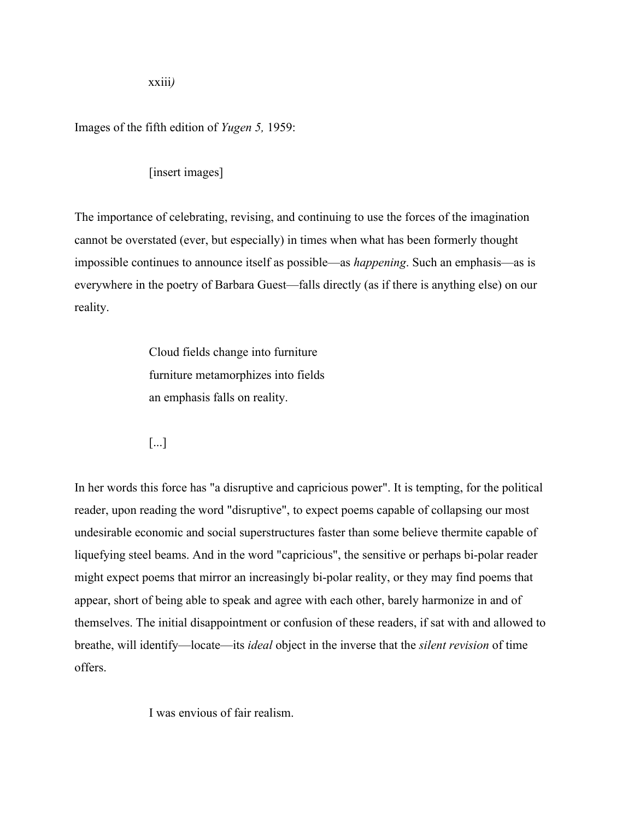xxiii*)*

Images of the fifth edition of *Yugen 5,* 1959:

[insert images]

The importance of celebrating, revising, and continuing to use the forces of the imagination cannot be overstated (ever, but especially) in times when what has been formerly thought impossible continues to announce itself as possible—as *happening*. Such an emphasis—as is everywhere in the poetry of Barbara Guest—falls directly (as if there is anything else) on our reality.

> Cloud fields change into furniture furniture metamorphizes into fields an emphasis falls on reality.

[...]

In her words this force has "a disruptive and capricious power". It is tempting, for the political reader, upon reading the word "disruptive", to expect poems capable of collapsing our most undesirable economic and social superstructures faster than some believe thermite capable of liquefying steel beams. And in the word "capricious", the sensitive or perhaps bi-polar reader might expect poems that mirror an increasingly bi-polar reality, or they may find poems that appear, short of being able to speak and agree with each other, barely harmonize in and of themselves. The initial disappointment or confusion of these readers, if sat with and allowed to breathe, will identify—locate—its *ideal* object in the inverse that the *silent revision* of time offers.

I was envious of fair realism.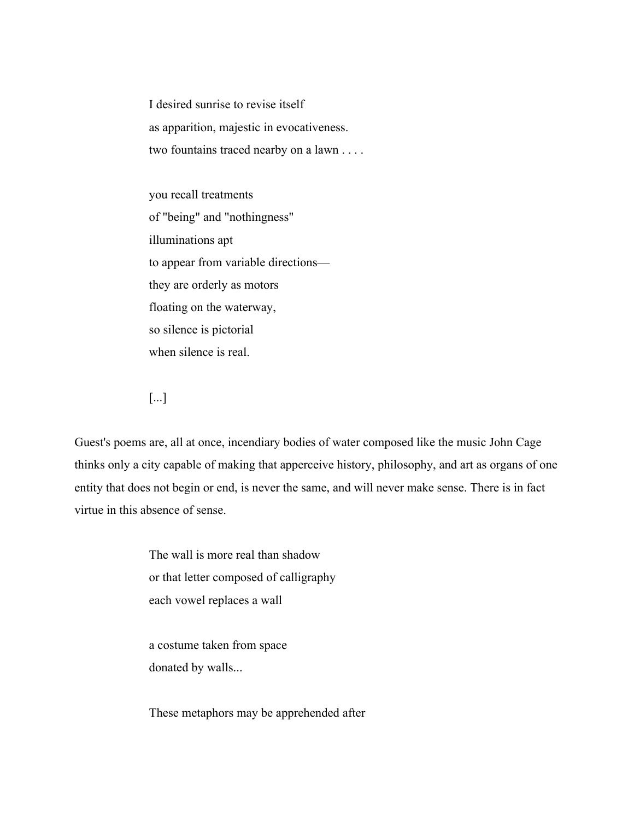I desired sunrise to revise itself as apparition, majestic in evocativeness. two fountains traced nearby on a lawn . . . .

you recall treatments of "being" and "nothingness" illuminations apt to appear from variable directions they are orderly as motors floating on the waterway, so silence is pictorial when silence is real.

[...]

Guest's poems are, all at once, incendiary bodies of water composed like the music John Cage thinks only a city capable of making that apperceive history, philosophy, and art as organs of one entity that does not begin or end, is never the same, and will never make sense. There is in fact virtue in this absence of sense.

> The wall is more real than shadow or that letter composed of calligraphy each vowel replaces a wall

a costume taken from space donated by walls...

These metaphors may be apprehended after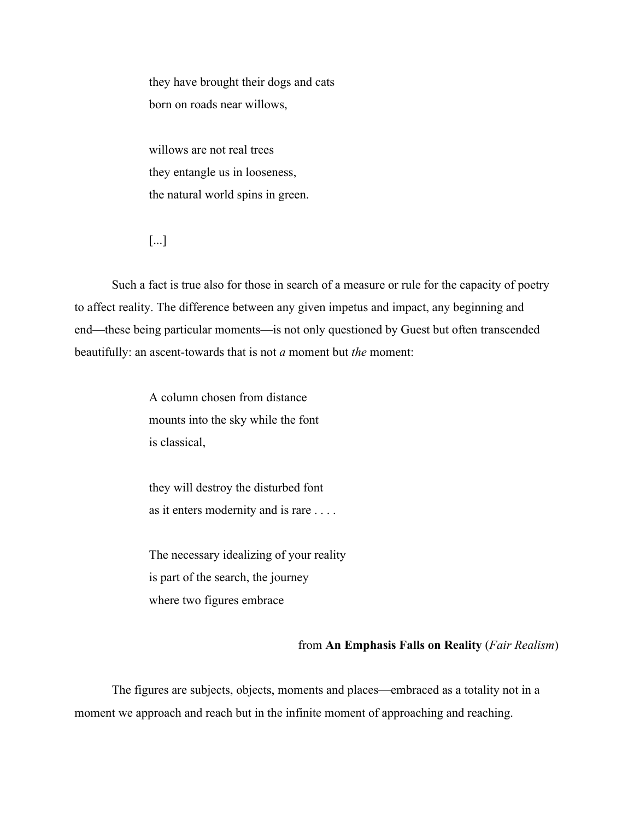they have brought their dogs and cats born on roads near willows,

willows are not real trees they entangle us in looseness, the natural world spins in green.

[...]

Such a fact is true also for those in search of a measure or rule for the capacity of poetry to affect reality. The difference between any given impetus and impact, any beginning and end—these being particular moments—is not only questioned by Guest but often transcended beautifully: an ascent-towards that is not *a* moment but *the* moment:

> A column chosen from distance mounts into the sky while the font is classical,

they will destroy the disturbed font as it enters modernity and is rare . . . .

The necessary idealizing of your reality is part of the search, the journey where two figures embrace

# from **An Emphasis Falls on Reality** (*Fair Realism*)

The figures are subjects, objects, moments and places—embraced as a totality not in a moment we approach and reach but in the infinite moment of approaching and reaching.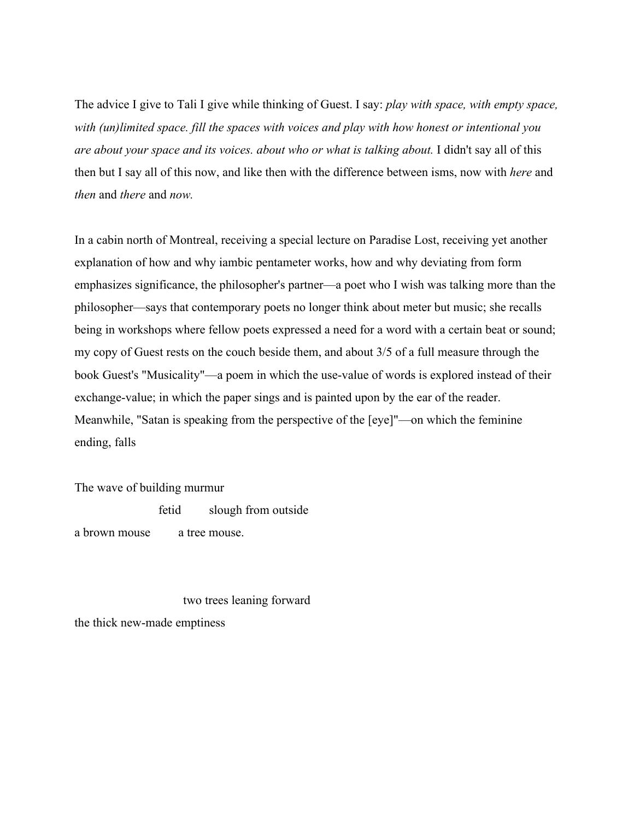The advice I give to Tali I give while thinking of Guest. I say: *play with space, with empty space, with (un)limited space. fill the spaces with voices and play with how honest or intentional you are about your space and its voices. about who or what is talking about.* I didn't say all of this then but I say all of this now, and like then with the difference between isms, now with *here* and *then* and *there* and *now.*

In a cabin north of Montreal, receiving a special lecture on Paradise Lost, receiving yet another explanation of how and why iambic pentameter works, how and why deviating from form emphasizes significance, the philosopher's partner—a poet who I wish was talking more than the philosopher—says that contemporary poets no longer think about meter but music; she recalls being in workshops where fellow poets expressed a need for a word with a certain beat or sound; my copy of Guest rests on the couch beside them, and about 3/5 of a full measure through the book Guest's "Musicality"—a poem in which the use-value of words is explored instead of their exchange-value; in which the paper sings and is painted upon by the ear of the reader. Meanwhile, "Satan is speaking from the perspective of the [eye]"—on which the feminine ending, falls

The wave of building murmur

fetid slough from outside

a brown mouse a tree mouse.

 two trees leaning forward the thick new-made emptiness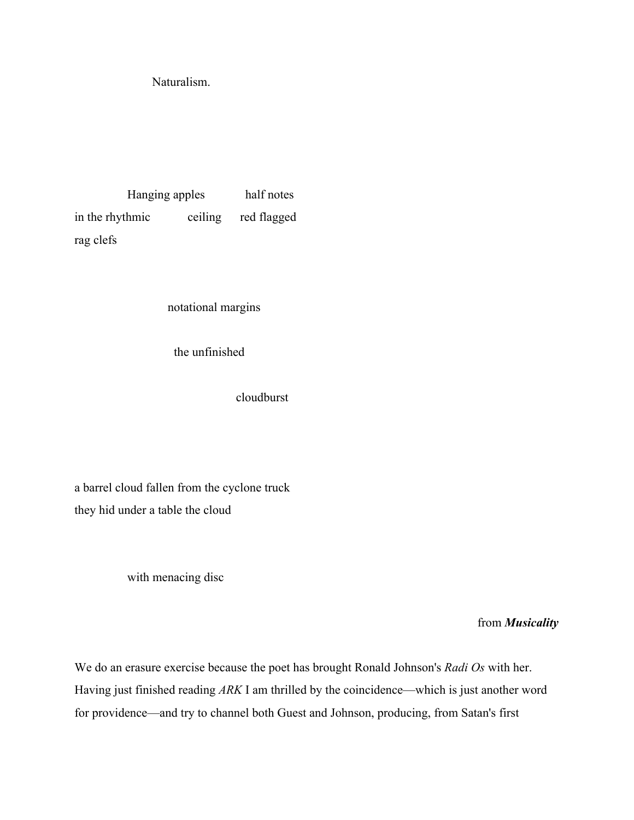Naturalism.

 Hanging apples half notes in the rhythmic ceiling red flagged rag clefs

notational margins

the unfinished

cloudburst

a barrel cloud fallen from the cyclone truck they hid under a table the cloud

with menacing disc

from *Musicality*

We do an erasure exercise because the poet has brought Ronald Johnson's *Radi Os* with her. Having just finished reading *ARK* I am thrilled by the coincidence—which is just another word for providence—and try to channel both Guest and Johnson, producing, from Satan's first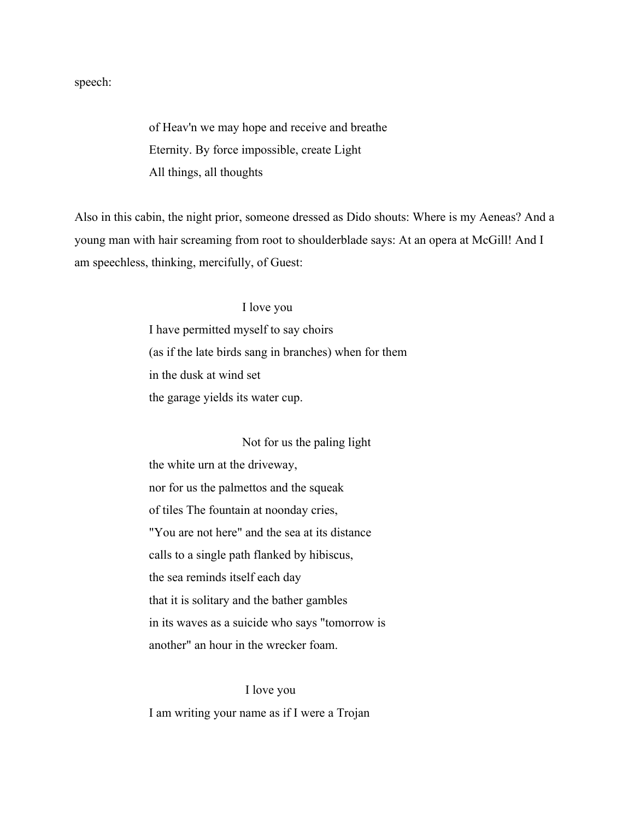speech:

of Heav'n we may hope and receive and breathe Eternity. By force impossible, create Light All things, all thoughts

Also in this cabin, the night prior, someone dressed as Dido shouts: Where is my Aeneas? And a young man with hair screaming from root to shoulderblade says: At an opera at McGill! And I am speechless, thinking, mercifully, of Guest:

## I love you

I have permitted myself to say choirs (as if the late birds sang in branches) when for them in the dusk at wind set the garage yields its water cup.

#### Not for us the paling light

the white urn at the driveway, nor for us the palmettos and the squeak of tiles The fountain at noonday cries, "You are not here" and the sea at its distance calls to a single path flanked by hibiscus, the sea reminds itself each day that it is solitary and the bather gambles in its waves as a suicide who says "tomorrow is another" an hour in the wrecker foam.

 I love you I am writing your name as if I were a Trojan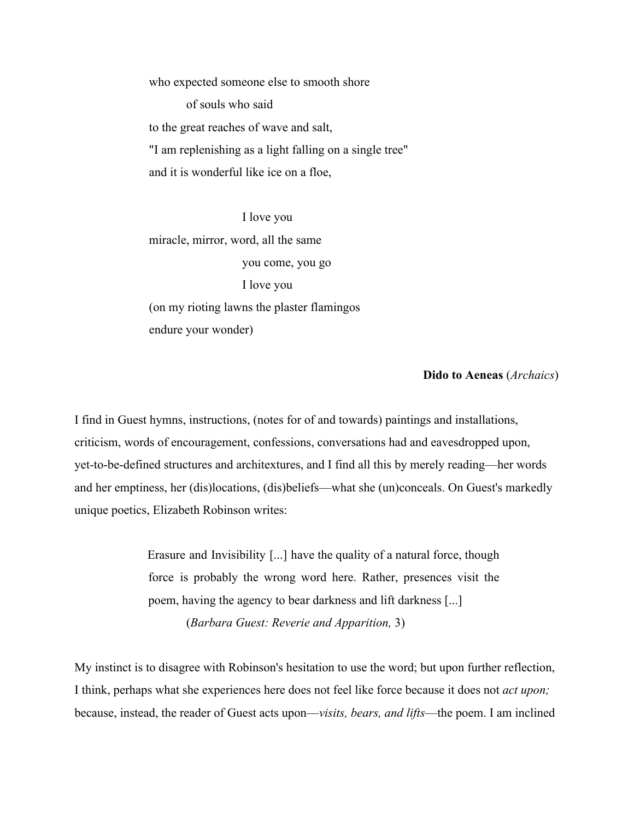who expected someone else to smooth shore of souls who said to the great reaches of wave and salt, "I am replenishing as a light falling on a single tree" and it is wonderful like ice on a floe,

 I love you miracle, mirror, word, all the same you come, you go I love you (on my rioting lawns the plaster flamingos endure your wonder)

## **Dido to Aeneas** (*Archaics*)

I find in Guest hymns, instructions, (notes for of and towards) paintings and installations, criticism, words of encouragement, confessions, conversations had and eavesdropped upon, yet-to-be-defined structures and architextures, and I find all this by merely reading—her words and her emptiness, her (dis)locations, (dis)beliefs—what she (un)conceals. On Guest's markedly unique poetics, Elizabeth Robinson writes:

> Erasure and Invisibility [...] have the quality of a natural force, though force is probably the wrong word here. Rather, presences visit the poem, having the agency to bear darkness and lift darkness [...] (*Barbara Guest: Reverie and Apparition,* 3)

My instinct is to disagree with Robinson's hesitation to use the word; but upon further reflection, I think, perhaps what she experiences here does not feel like force because it does not *act upon;* because, instead, the reader of Guest acts upon—*visits, bears, and lifts*—the poem. I am inclined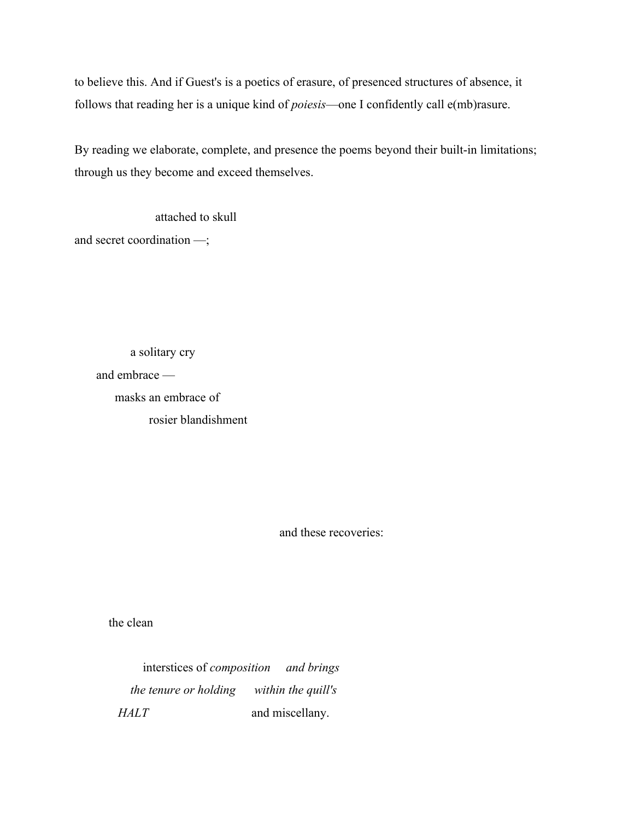to believe this. And if Guest's is a poetics of erasure, of presenced structures of absence, it follows that reading her is a unique kind of *poiesis*—one I confidently call e(mb)rasure.

By reading we elaborate, complete, and presence the poems beyond their built-in limitations; through us they become and exceed themselves.

 attached to skull and secret coordination —;

> a solitary cry and embrace masks an embrace of rosier blandishment

> > and these recoveries:

the clean

 interstices of *composition and brings the tenure or holding within the quill's HALT* and miscellany.